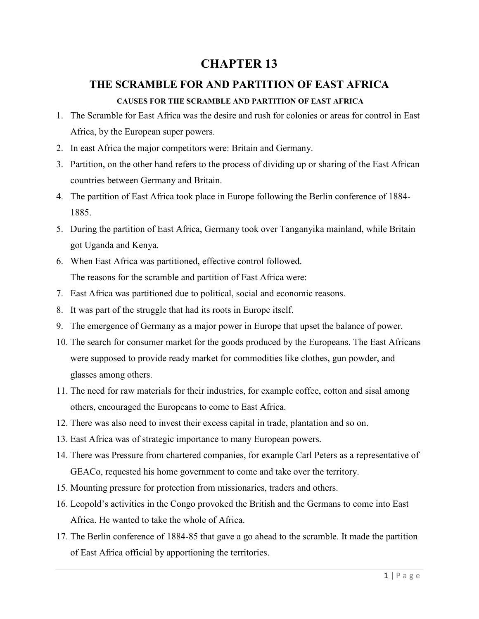# **CHAPTER 13**

# **THE SCRAMBLE FOR AND PARTITION OF EAST AFRICA**

#### **CAUSES FOR THE SCRAMBLE AND PARTITION OF EAST AFRICA**

- 1. The Scramble for East Africa was the desire and rush for colonies or areas for control in East Africa, by the European super powers.
- 2. In east Africa the major competitors were: Britain and Germany.
- 3. Partition, on the other hand refers to the process of dividing up or sharing of the East African countries between Germany and Britain.
- 4. The partition of East Africa took place in Europe following the Berlin conference of 1884- 1885.
- 5. During the partition of East Africa, Germany took over Tanganyika mainland, while Britain got Uganda and Kenya.
- 6. When East Africa was partitioned, effective control followed. The reasons for the scramble and partition of East Africa were:
- 7. East Africa was partitioned due to political, social and economic reasons.
- 8. It was part of the struggle that had its roots in Europe itself.
- 9. The emergence of Germany as a major power in Europe that upset the balance of power.
- 10. The search for consumer market for the goods produced by the Europeans. The East Africans were supposed to provide ready market for commodities like clothes, gun powder, and glasses among others.
- 11. The need for raw materials for their industries, for example coffee, cotton and sisal among others, encouraged the Europeans to come to East Africa.
- 12. There was also need to invest their excess capital in trade, plantation and so on.
- 13. East Africa was of strategic importance to many European powers.
- 14. There was Pressure from chartered companies, for example Carl Peters as a representative of GEACo, requested his home government to come and take over the territory.
- 15. Mounting pressure for protection from missionaries, traders and others.
- 16. Leopold's activities in the Congo provoked the British and the Germans to come into East Africa. He wanted to take the whole of Africa.
- 17. The Berlin conference of 1884-85 that gave a go ahead to the scramble. It made the partition of East Africa official by apportioning the territories.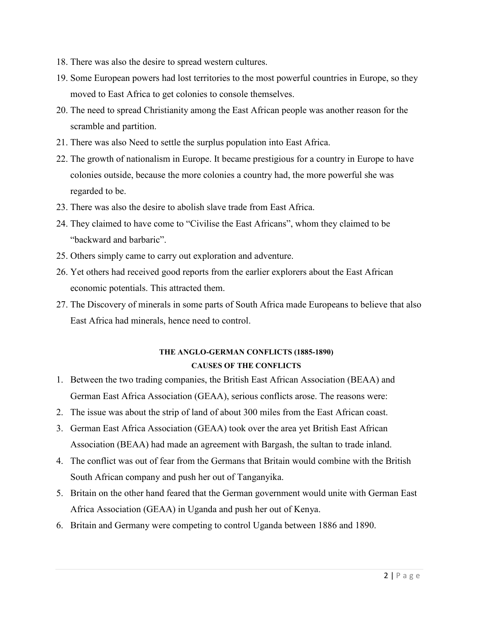- 18. There was also the desire to spread western cultures.
- 19. Some European powers had lost territories to the most powerful countries in Europe, so they moved to East Africa to get colonies to console themselves.
- 20. The need to spread Christianity among the East African people was another reason for the scramble and partition.
- 21. There was also Need to settle the surplus population into East Africa.
- 22. The growth of nationalism in Europe. It became prestigious for a country in Europe to have colonies outside, because the more colonies a country had, the more powerful she was regarded to be.
- 23. There was also the desire to abolish slave trade from East Africa.
- 24. They claimed to have come to "Civilise the East Africans", whom they claimed to be "backward and barbaric".
- 25. Others simply came to carry out exploration and adventure.
- 26. Yet others had received good reports from the earlier explorers about the East African economic potentials. This attracted them.
- 27. The Discovery of minerals in some parts of South Africa made Europeans to believe that also East Africa had minerals, hence need to control.

# **THE ANGLO-GERMAN CONFLICTS (1885-1890) CAUSES OF THE CONFLICTS**

- 1. Between the two trading companies, the British East African Association (BEAA) and German East Africa Association (GEAA), serious conflicts arose. The reasons were:
- 2. The issue was about the strip of land of about 300 miles from the East African coast.
- 3. German East Africa Association (GEAA) took over the area yet British East African Association (BEAA) had made an agreement with Bargash, the sultan to trade inland.
- 4. The conflict was out of fear from the Germans that Britain would combine with the British South African company and push her out of Tanganyika.
- 5. Britain on the other hand feared that the German government would unite with German East Africa Association (GEAA) in Uganda and push her out of Kenya.
- 6. Britain and Germany were competing to control Uganda between 1886 and 1890.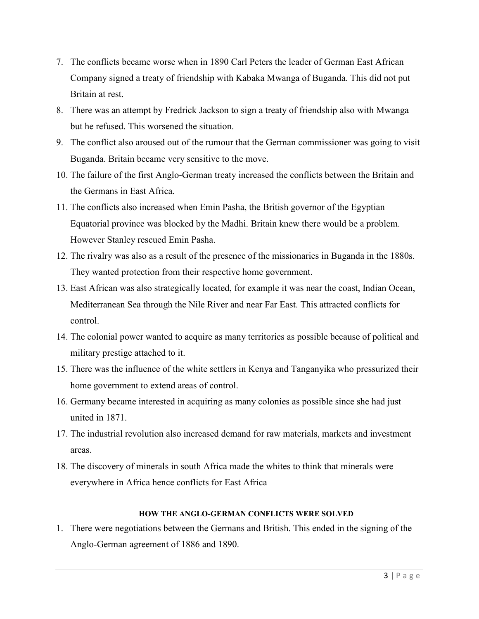- 7. The conflicts became worse when in 1890 Carl Peters the leader of German East African Company signed a treaty of friendship with Kabaka Mwanga of Buganda. This did not put Britain at rest.
- 8. There was an attempt by Fredrick Jackson to sign a treaty of friendship also with Mwanga but he refused. This worsened the situation.
- 9. The conflict also aroused out of the rumour that the German commissioner was going to visit Buganda. Britain became very sensitive to the move.
- 10. The failure of the first Anglo-German treaty increased the conflicts between the Britain and the Germans in East Africa.
- 11. The conflicts also increased when Emin Pasha, the British governor of the Egyptian Equatorial province was blocked by the Madhi. Britain knew there would be a problem. However Stanley rescued Emin Pasha.
- 12. The rivalry was also as a result of the presence of the missionaries in Buganda in the 1880s. They wanted protection from their respective home government.
- 13. East African was also strategically located, for example it was near the coast, Indian Ocean, Mediterranean Sea through the Nile River and near Far East. This attracted conflicts for control.
- 14. The colonial power wanted to acquire as many territories as possible because of political and military prestige attached to it.
- 15. There was the influence of the white settlers in Kenya and Tanganyika who pressurized their home government to extend areas of control.
- 16. Germany became interested in acquiring as many colonies as possible since she had just united in 1871.
- 17. The industrial revolution also increased demand for raw materials, markets and investment areas.
- 18. The discovery of minerals in south Africa made the whites to think that minerals were everywhere in Africa hence conflicts for East Africa

### **HOW THE ANGLO-GERMAN CONFLICTS WERE SOLVED**

1. There were negotiations between the Germans and British. This ended in the signing of the Anglo-German agreement of 1886 and 1890.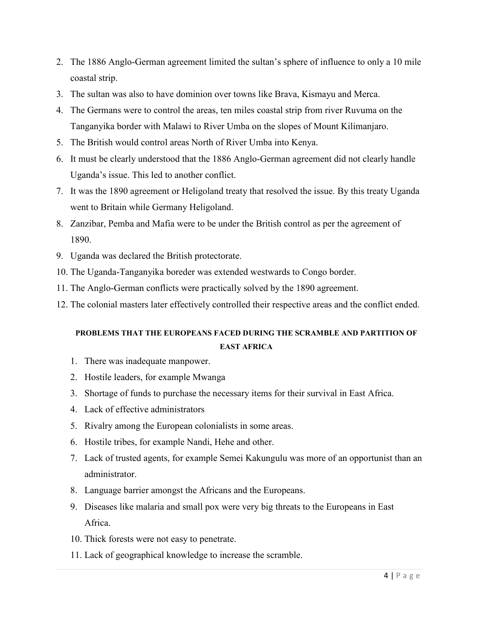- 2. The 1886 Anglo-German agreement limited the sultan's sphere of influence to only a 10 mile coastal strip.
- 3. The sultan was also to have dominion over towns like Brava, Kismayu and Merca.
- 4. The Germans were to control the areas, ten miles coastal strip from river Ruvuma on the Tanganyika border with Malawi to River Umba on the slopes of Mount Kilimanjaro.
- 5. The British would control areas North of River Umba into Kenya.
- 6. It must be clearly understood that the 1886 Anglo-German agreement did not clearly handle Uganda's issue. This led to another conflict.
- 7. It was the 1890 agreement or Heligoland treaty that resolved the issue. By this treaty Uganda went to Britain while Germany Heligoland.
- 8. Zanzibar, Pemba and Mafia were to be under the British control as per the agreement of 1890.
- 9. Uganda was declared the British protectorate.
- 10. The Uganda-Tanganyika boreder was extended westwards to Congo border.
- 11. The Anglo-German conflicts were practically solved by the 1890 agreement.
- 12. The colonial masters later effectively controlled their respective areas and the conflict ended.

## **PROBLEMS THAT THE EUROPEANS FACED DURING THE SCRAMBLE AND PARTITION OF EAST AFRICA**

- 1. There was inadequate manpower.
- 2. Hostile leaders, for example Mwanga
- 3. Shortage of funds to purchase the necessary items for their survival in East Africa.
- 4. Lack of effective administrators
- 5. Rivalry among the European colonialists in some areas.
- 6. Hostile tribes, for example Nandi, Hehe and other.
- 7. Lack of trusted agents, for example Semei Kakungulu was more of an opportunist than an administrator.
- 8. Language barrier amongst the Africans and the Europeans.
- 9. Diseases like malaria and small pox were very big threats to the Europeans in East Africa.
- 10. Thick forests were not easy to penetrate.
- 11. Lack of geographical knowledge to increase the scramble.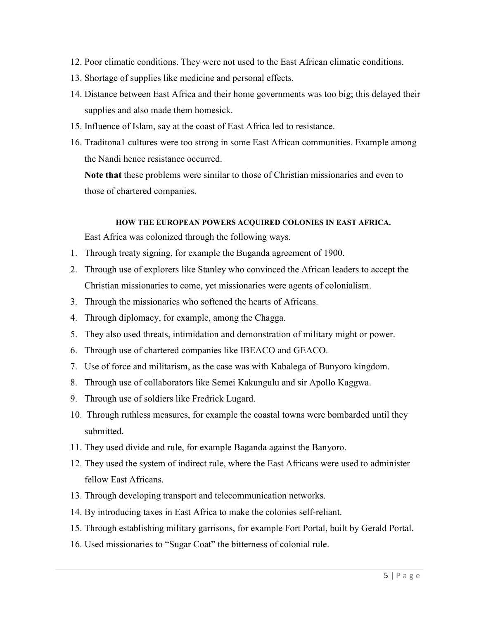- 12. Poor climatic conditions. They were not used to the East African climatic conditions.
- 13. Shortage of supplies like medicine and personal effects.
- 14. Distance between East Africa and their home governments was too big; this delayed their supplies and also made them homesick.
- 15. Influence of Islam, say at the coast of East Africa led to resistance.
- 16. Traditona1 cultures were too strong in some East African communities. Example among the Nandi hence resistance occurred.

**Note that** these problems were similar to those of Christian missionaries and even to those of chartered companies.

#### **HOW THE EUROPEAN POWERS ACQUIRED COLONIES IN EAST AFRICA.**

East Africa was colonized through the following ways.

- 1. Through treaty signing, for example the Buganda agreement of 1900.
- 2. Through use of explorers like Stanley who convinced the African leaders to accept the Christian missionaries to come, yet missionaries were agents of colonialism.
- 3. Through the missionaries who softened the hearts of Africans.
- 4. Through diplomacy, for example, among the Chagga.
- 5. They also used threats, intimidation and demonstration of military might or power.
- 6. Through use of chartered companies like IBEACO and GEACO.
- 7. Use of force and militarism, as the case was with Kabalega of Bunyoro kingdom.
- 8. Through use of collaborators like Semei Kakungulu and sir Apollo Kaggwa.
- 9. Through use of soldiers like Fredrick Lugard.
- 10. Through ruthless measures, for example the coastal towns were bombarded until they submitted.
- 11. They used divide and rule, for example Baganda against the Banyoro.
- 12. They used the system of indirect rule, where the East Africans were used to administer fellow East Africans.
- 13. Through developing transport and telecommunication networks.
- 14. By introducing taxes in East Africa to make the colonies self-reliant.
- 15. Through establishing military garrisons, for example Fort Portal, built by Gerald Portal.
- 16. Used missionaries to "Sugar Coat" the bitterness of colonial rule.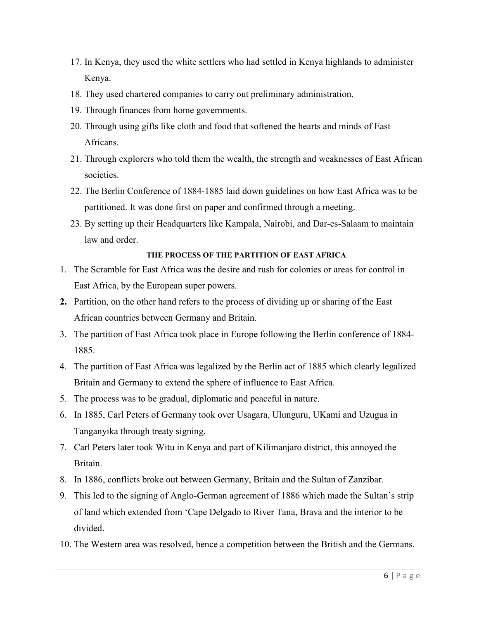- 17. In Kenya, they used the white settlers who had settled in Kenya highlands to administer Kenya.
- 18. They used chartered companies to carry out preliminary administration.
- 19. Through finances from home governments.
- 20. Through using gifts like cloth and food that softened the hearts and minds of East Africans.
- 21. Through explorers who told them the wealth, the strength and weaknesses of East African societies.
- 22. The Berlin Conference of 1884-1885 laid down guidelines on how East Africa was to be partitioned. It was done first on paper and confirmed through a meeting.
- 23. By setting up their Headquarters like Kampala, Nairobi, and Dar-es-Salaam to maintain law and order.

#### **THE PROCESS OF THE PARTITION OF EAST AFRICA**

- 1. The Scramble for East Africa was the desire and rush for colonies or areas for control in East Africa, by the European super powers.
- **2.** Partition, on the other hand refers to the process of dividing up or sharing of the East African countries between Germany and Britain.
- 3. The partition of East Africa took place in Europe following the Berlin conference of 1884- 1885.
- 4. The partition of East Africa was legalized by the Berlin act of 1885 which clearly legalized Britain and Germany to extend the sphere of influence to East Africa.
- 5. The process was to be gradual, diplomatic and peaceful in nature.
- 6. In 1885, Carl Peters of Germany took over Usagara, Ulunguru, UKami and Uzugua in Tanganyika through treaty signing.
- 7. Carl Peters later took Witu in Kenya and part of Kilimanjaro district, this annoyed the Britain.
- 8. In 1886, conflicts broke out between Germany, Britain and the Sultan of Zanzibar.
- 9. This led to the signing of Anglo-German agreement of 1886 which made the Sultan's strip of land which extended from 'Cape Delgado to River Tana, Brava and the interior to be divided.
- 10. The Western area was resolved, hence a competition between the British and the Germans.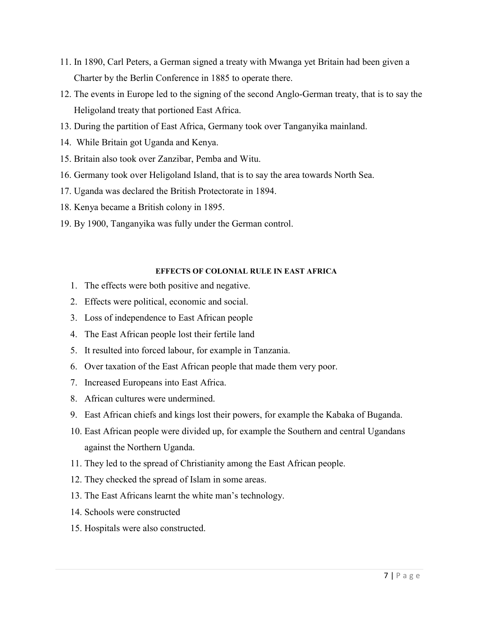- 11. In 1890, Carl Peters, a German signed a treaty with Mwanga yet Britain had been given a Charter by the Berlin Conference in 1885 to operate there.
- 12. The events in Europe led to the signing of the second Anglo-German treaty, that is to say the Heligoland treaty that portioned East Africa.
- 13. During the partition of East Africa, Germany took over Tanganyika mainland.
- 14. While Britain got Uganda and Kenya.
- 15. Britain also took over Zanzibar, Pemba and Witu.
- 16. Germany took over Heligoland Island, that is to say the area towards North Sea.
- 17. Uganda was declared the British Protectorate in 1894.
- 18. Kenya became a British colony in 1895.
- 19. By 1900, Tanganyika was fully under the German control.

#### **EFFECTS OF COLONIAL RULE IN EAST AFRICA**

- 1. The effects were both positive and negative.
- 2. Effects were political, economic and social.
- 3. Loss of independence to East African people
- 4. The East African people lost their fertile land
- 5. It resulted into forced labour, for example in Tanzania.
- 6. Over taxation of the East African people that made them very poor.
- 7. Increased Europeans into East Africa.
- 8. African cultures were undermined.
- 9. East African chiefs and kings lost their powers, for example the Kabaka of Buganda.
- 10. East African people were divided up, for example the Southern and central Ugandans against the Northern Uganda.
- 11. They led to the spread of Christianity among the East African people.
- 12. They checked the spread of Islam in some areas.
- 13. The East Africans learnt the white man's technology.
- 14. Schools were constructed
- 15. Hospitals were also constructed.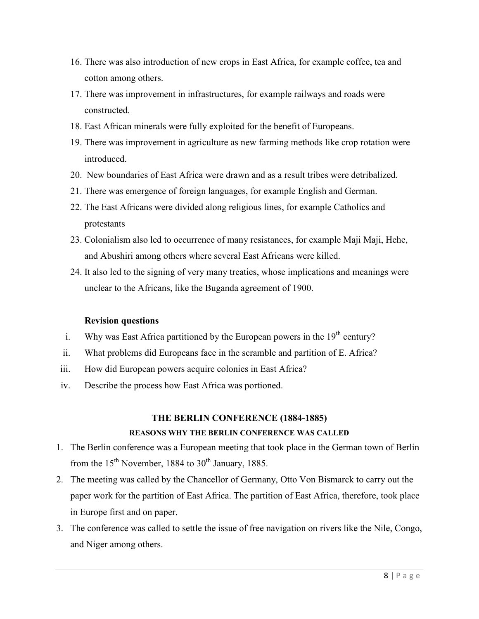- 16. There was also introduction of new crops in East Africa, for example coffee, tea and cotton among others.
- 17. There was improvement in infrastructures, for example railways and roads were constructed.
- 18. East African minerals were fully exploited for the benefit of Europeans.
- 19. There was improvement in agriculture as new farming methods like crop rotation were introduced.
- 20. New boundaries of East Africa were drawn and as a result tribes were detribalized.
- 21. There was emergence of foreign languages, for example English and German.
- 22. The East Africans were divided along religious lines, for example Catholics and protestants
- 23. Colonialism also led to occurrence of many resistances, for example Maji Maji, Hehe, and Abushiri among others where several East Africans were killed.
- 24. It also led to the signing of very many treaties, whose implications and meanings were unclear to the Africans, like the Buganda agreement of 1900.

### **Revision questions**

- i. Why was East Africa partitioned by the European powers in the  $19<sup>th</sup>$  century?
- ii. What problems did Europeans face in the scramble and partition of E. Africa?
- iii. How did European powers acquire colonies in East Africa?
- iv. Describe the process how East Africa was portioned.

### **THE BERLIN CONFERENCE (1884-1885)**

## **REASONS WHY THE BERLIN CONFERENCE WAS CALLED**

- 1. The Berlin conference was a European meeting that took place in the German town of Berlin from the  $15<sup>th</sup>$  November, 1884 to  $30<sup>th</sup>$  January, 1885.
- 2. The meeting was called by the Chancellor of Germany, Otto Von Bismarck to carry out the paper work for the partition of East Africa. The partition of East Africa, therefore, took place in Europe first and on paper.
- 3. The conference was called to settle the issue of free navigation on rivers like the Nile, Congo, and Niger among others.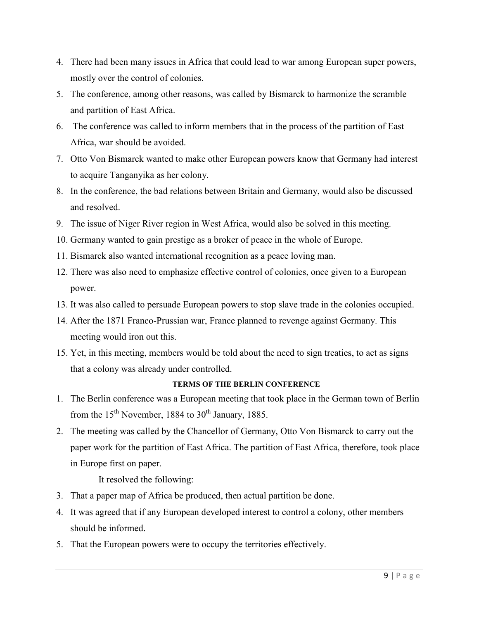- 4. There had been many issues in Africa that could lead to war among European super powers, mostly over the control of colonies.
- 5. The conference, among other reasons, was called by Bismarck to harmonize the scramble and partition of East Africa.
- 6. The conference was called to inform members that in the process of the partition of East Africa, war should be avoided.
- 7. Otto Von Bismarck wanted to make other European powers know that Germany had interest to acquire Tanganyika as her colony.
- 8. In the conference, the bad relations between Britain and Germany, would also be discussed and resolved.
- 9. The issue of Niger River region in West Africa, would also be solved in this meeting.
- 10. Germany wanted to gain prestige as a broker of peace in the whole of Europe.
- 11. Bismarck also wanted international recognition as a peace loving man.
- 12. There was also need to emphasize effective control of colonies, once given to a European power.
- 13. It was also called to persuade European powers to stop slave trade in the colonies occupied.
- 14. After the 1871 Franco-Prussian war, France planned to revenge against Germany. This meeting would iron out this.
- 15. Yet, in this meeting, members would be told about the need to sign treaties, to act as signs that a colony was already under controlled.

### **TERMS OF THE BERLIN CONFERENCE**

- 1. The Berlin conference was a European meeting that took place in the German town of Berlin from the  $15<sup>th</sup>$  November, 1884 to  $30<sup>th</sup>$  January, 1885.
- 2. The meeting was called by the Chancellor of Germany, Otto Von Bismarck to carry out the paper work for the partition of East Africa. The partition of East Africa, therefore, took place in Europe first on paper.

It resolved the following:

- 3. That a paper map of Africa be produced, then actual partition be done.
- 4. It was agreed that if any European developed interest to control a colony, other members should be informed.
- 5. That the European powers were to occupy the territories effectively.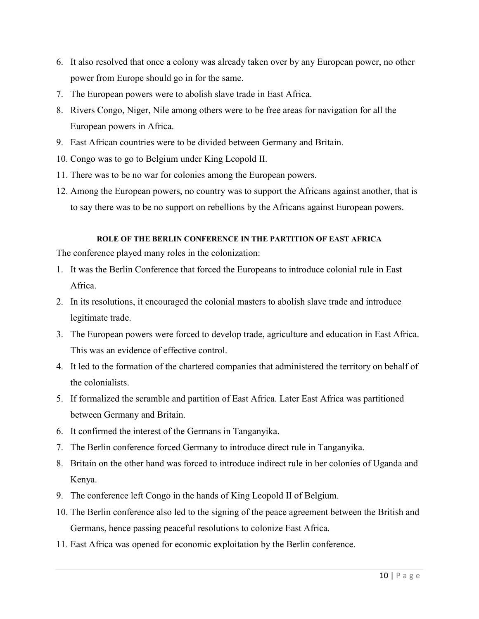- 6. It also resolved that once a colony was already taken over by any European power, no other power from Europe should go in for the same.
- 7. The European powers were to abolish slave trade in East Africa.
- 8. Rivers Congo, Niger, Nile among others were to be free areas for navigation for all the European powers in Africa.
- 9. East African countries were to be divided between Germany and Britain.
- 10. Congo was to go to Belgium under King Leopold II.
- 11. There was to be no war for colonies among the European powers.
- 12. Among the European powers, no country was to support the Africans against another, that is to say there was to be no support on rebellions by the Africans against European powers.

#### **ROLE OF THE BERLIN CONFERENCE IN THE PARTITION OF EAST AFRICA**

The conference played many roles in the colonization:

- 1. It was the Berlin Conference that forced the Europeans to introduce colonial rule in East Africa.
- 2. In its resolutions, it encouraged the colonial masters to abolish slave trade and introduce legitimate trade.
- 3. The European powers were forced to develop trade, agriculture and education in East Africa. This was an evidence of effective control.
- 4. It led to the formation of the chartered companies that administered the territory on behalf of the colonialists.
- 5. If formalized the scramble and partition of East Africa. Later East Africa was partitioned between Germany and Britain.
- 6. It confirmed the interest of the Germans in Tanganyika.
- 7. The Berlin conference forced Germany to introduce direct rule in Tanganyika.
- 8. Britain on the other hand was forced to introduce indirect rule in her colonies of Uganda and Kenya.
- 9. The conference left Congo in the hands of King Leopold II of Belgium.
- 10. The Berlin conference also led to the signing of the peace agreement between the British and Germans, hence passing peaceful resolutions to colonize East Africa.
- 11. East Africa was opened for economic exploitation by the Berlin conference.